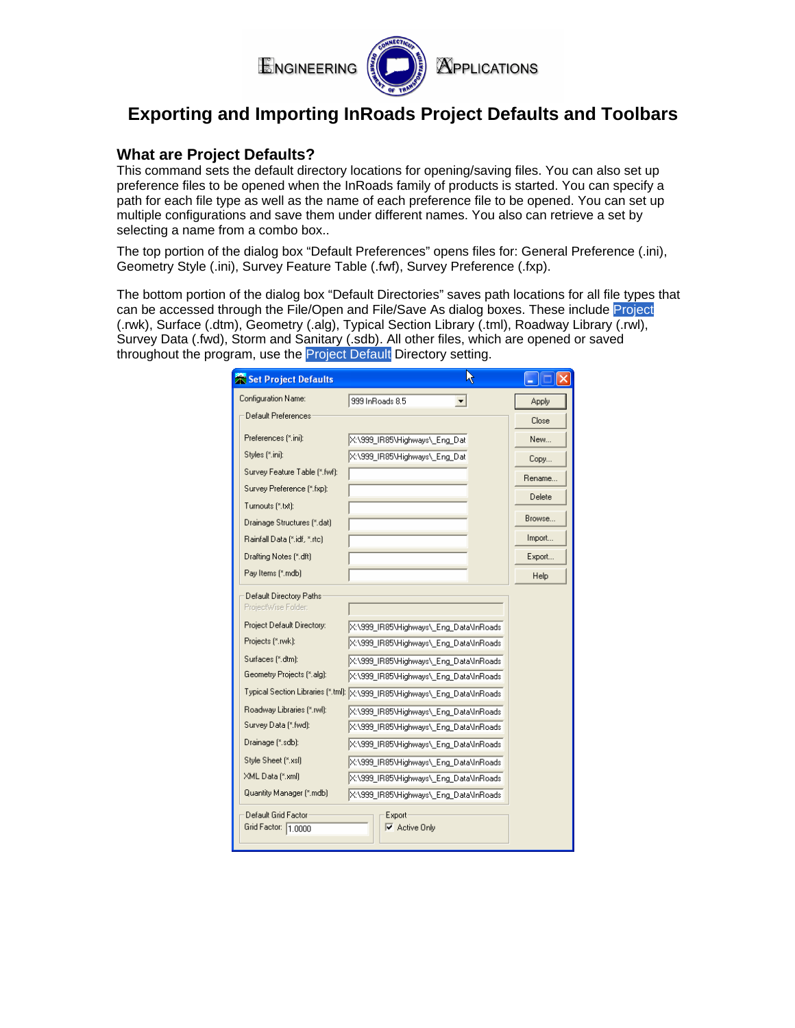

# **Exporting and Importing InRoads Project Defaults and Toolbars**

### **What are Project Defaults?**

This command sets the default directory locations for opening/saving files. You can also set up preference files to be opened when the InRoads family of products is started. You can specify a path for each file type as well as the name of each preference file to be opened. You can set up multiple configurations and save them under different names. You also can retrieve a set by selecting a name from a combo box..

The top portion of the dialog box "Default Preferences" opens files for: General Preference (.ini), Geometry Style (.ini), Survey Feature Table (.fwf), Survey Preference (.fxp).

The bottom portion of the dialog box "Default Directories" saves path locations for all file types that can be accessed through the File/Open and File/Save As dialog boxes. These include Project (.rwk), Surface (.dtm), Geometry (.alg), Typical Section Library (.tml), Roadway Library (.rwl), Survey Data (.fwd), Storm and Sanitary (.sdb). All other files, which are opened or saved throughout the program, use the Project Default Directory setting.

| Set Project Defaults                                                                                                                                                                                                                                                                                                                                 |                                                                                                                                                                                                                                                                                                                                                                                                                                                                                                                                                  | Ŋ |        |
|------------------------------------------------------------------------------------------------------------------------------------------------------------------------------------------------------------------------------------------------------------------------------------------------------------------------------------------------------|--------------------------------------------------------------------------------------------------------------------------------------------------------------------------------------------------------------------------------------------------------------------------------------------------------------------------------------------------------------------------------------------------------------------------------------------------------------------------------------------------------------------------------------------------|---|--------|
| Configuration Name:                                                                                                                                                                                                                                                                                                                                  | 999 InRoads 8.5<br>$\blacktriangledown$                                                                                                                                                                                                                                                                                                                                                                                                                                                                                                          |   | Apply  |
| Default Preferences                                                                                                                                                                                                                                                                                                                                  |                                                                                                                                                                                                                                                                                                                                                                                                                                                                                                                                                  |   | Close  |
| Preferences [*.ini]:                                                                                                                                                                                                                                                                                                                                 | X:\999 IR85\Highways\ Eng Dat                                                                                                                                                                                                                                                                                                                                                                                                                                                                                                                    |   | New    |
| Styles [*.ini]:                                                                                                                                                                                                                                                                                                                                      | X:\999 IR85\Highways\ Eng Dat                                                                                                                                                                                                                                                                                                                                                                                                                                                                                                                    |   | Copy   |
| Survey Feature Table [*.fwf]:                                                                                                                                                                                                                                                                                                                        |                                                                                                                                                                                                                                                                                                                                                                                                                                                                                                                                                  |   | Rename |
| Survey Preference [*.fxp]:                                                                                                                                                                                                                                                                                                                           |                                                                                                                                                                                                                                                                                                                                                                                                                                                                                                                                                  |   | Delete |
| Turnouts (*.txt):                                                                                                                                                                                                                                                                                                                                    |                                                                                                                                                                                                                                                                                                                                                                                                                                                                                                                                                  |   |        |
| Drainage Structures [*.dat]                                                                                                                                                                                                                                                                                                                          |                                                                                                                                                                                                                                                                                                                                                                                                                                                                                                                                                  |   | Browse |
| Rainfall Data [*.idf, *.rtc]                                                                                                                                                                                                                                                                                                                         |                                                                                                                                                                                                                                                                                                                                                                                                                                                                                                                                                  |   | Import |
| Drafting Notes [*.dft]                                                                                                                                                                                                                                                                                                                               |                                                                                                                                                                                                                                                                                                                                                                                                                                                                                                                                                  |   | Export |
| Pay Items (*.mdb)                                                                                                                                                                                                                                                                                                                                    |                                                                                                                                                                                                                                                                                                                                                                                                                                                                                                                                                  |   | Help   |
| Default Directory Paths<br>ProjectWise Folder:<br>Project Default Directory:<br>Projects [*.rwk]:<br>Surfaces [".dtm]:<br>Geometry Projects [*.alg]:<br>Roadway Libraries [*.rwl]:<br>Survey Data [*.fwd]:<br>Drainage (*.sdb):<br>Style Sheet [*.xsl]<br>XML Data [*.xml]<br>Quantity Manager [*.mdb]<br>Default Grid Factor<br>Grid Factor: 1.0000 | X:\999_IR85\Highways\ Eng_Data\InRoads<br>X:\999_IR85\Highways\_Eng_Data\InRoads<br>X:\999 IR85\Highways\ Eng Data\InRoads<br>X:\999 IR85\Highways\ Eng Data\InRoads<br>Typical Section Libraries (*.tml): X:\999_IR85\Highways\_Eng_Data\InRoads<br>X:\999_IR85\Highways\_Eng_Data\InRoads<br>X:\999_IR85\Highways\_Eng_Data\InRoads<br>X:\999 IR85\Highways\ Eng Data\InRoads<br>X:\999 IR85\Highways\ Eng Data\InRoads<br>X:\999 IR85\Highways\ Eng Data\InRoads<br>X:\999_IR85\Highways\_Eng_Data\InRoads<br>Export-<br>$\nabla$ Active Only |   |        |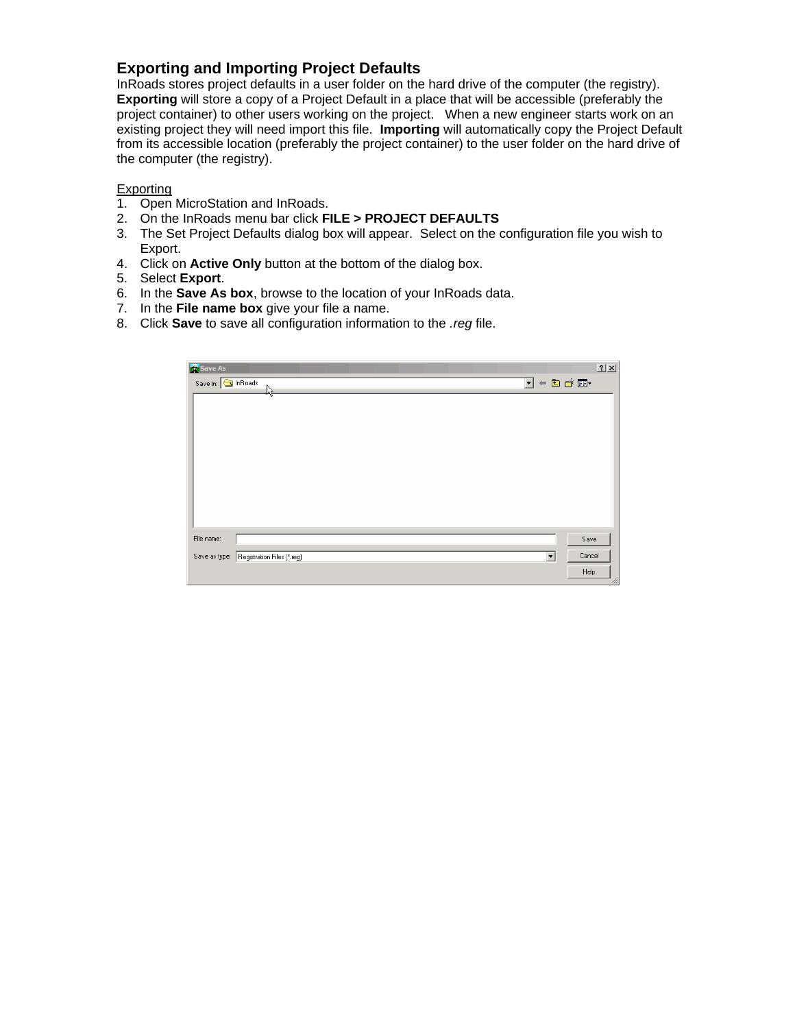# **Exporting and Importing Project Defaults**

InRoads stores project defaults in a user folder on the hard drive of the computer (the registry). **Exporting** will store a copy of a Project Default in a place that will be accessible (preferably the project container) to other users working on the project. When a new engineer starts work on an existing project they will need import this file. **Importing** will automatically copy the Project Default from its accessible location (preferably the project container) to the user folder on the hard drive of the computer (the registry).

### **Exporting**

- 1. Open MicroStation and InRoads.
- 2. On the InRoads menu bar click **FILE > PROJECT DEFAULTS**
- 3. The Set Project Defaults dialog box will appear. Select on the configuration file you wish to Export.
- 4. Click on **Active Only** button at the bottom of the dialog box.
- 5. Select **Export**.
- 6. In the **Save As box**, browse to the location of your InRoads data.
- 7. In the **File name box** give your file a name.
- 8. Click **Save** to save all configuration information to the *.reg* file.

| Save As                                                                                  |        | 2 X |
|------------------------------------------------------------------------------------------|--------|-----|
| $\overline{\mathbb{E}}$ + b $\mathbb{E}$ $\mathbb{E}$ $\mathbb{E}$<br>Save in: Sin Roads |        |     |
| ٩Ř                                                                                       |        |     |
|                                                                                          |        |     |
|                                                                                          |        |     |
|                                                                                          |        |     |
|                                                                                          |        |     |
|                                                                                          |        |     |
|                                                                                          |        |     |
|                                                                                          |        |     |
|                                                                                          |        |     |
| File name:                                                                               | Save   |     |
|                                                                                          |        |     |
| Save as type: Registration Files (*.reg)<br>$\vert \cdot \vert$                          | Cancel |     |
|                                                                                          | Help   | h.  |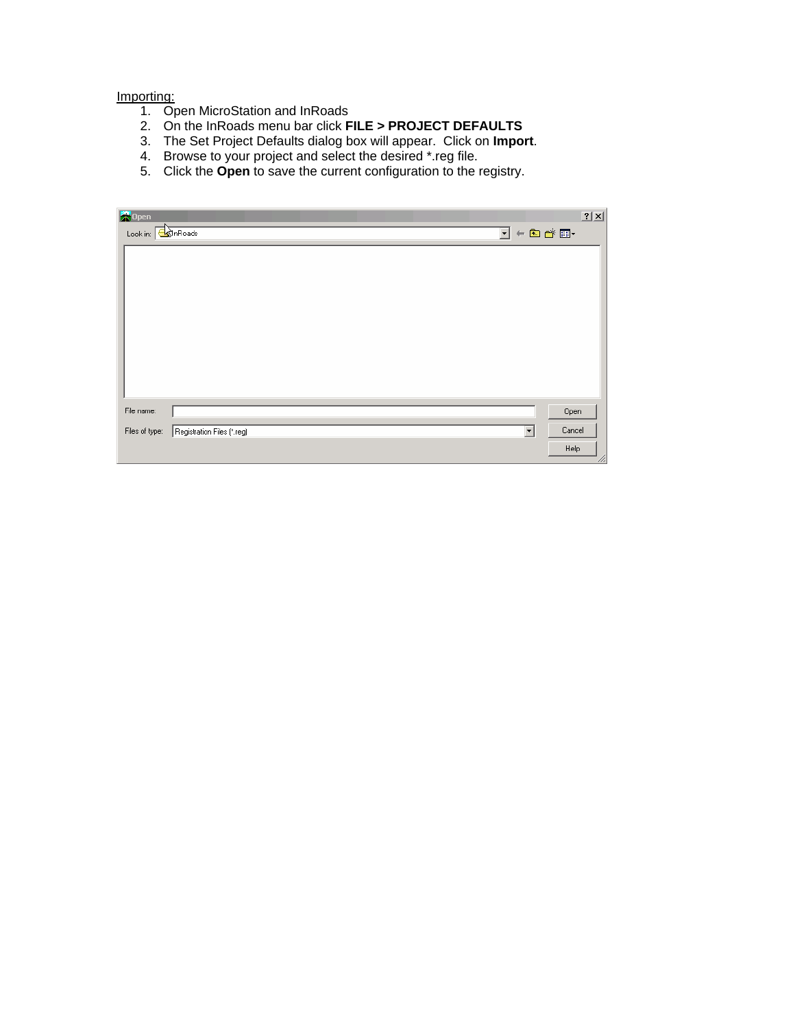#### Importing:

- 1. Open MicroStation and InRoads
- 2. On the InRoads menu bar click **FILE > PROJECT DEFAULTS**
- 3. The Set Project Defaults dialog box will appear. Click on **Import**.
- 4. Browse to your project and select the desired \*.reg file.
- 5. Click the **Open** to save the current configuration to the registry.

| 2 X |
|-----|
|     |
|     |
|     |
|     |
|     |
|     |
|     |
|     |
|     |
|     |
|     |
| 11. |
|     |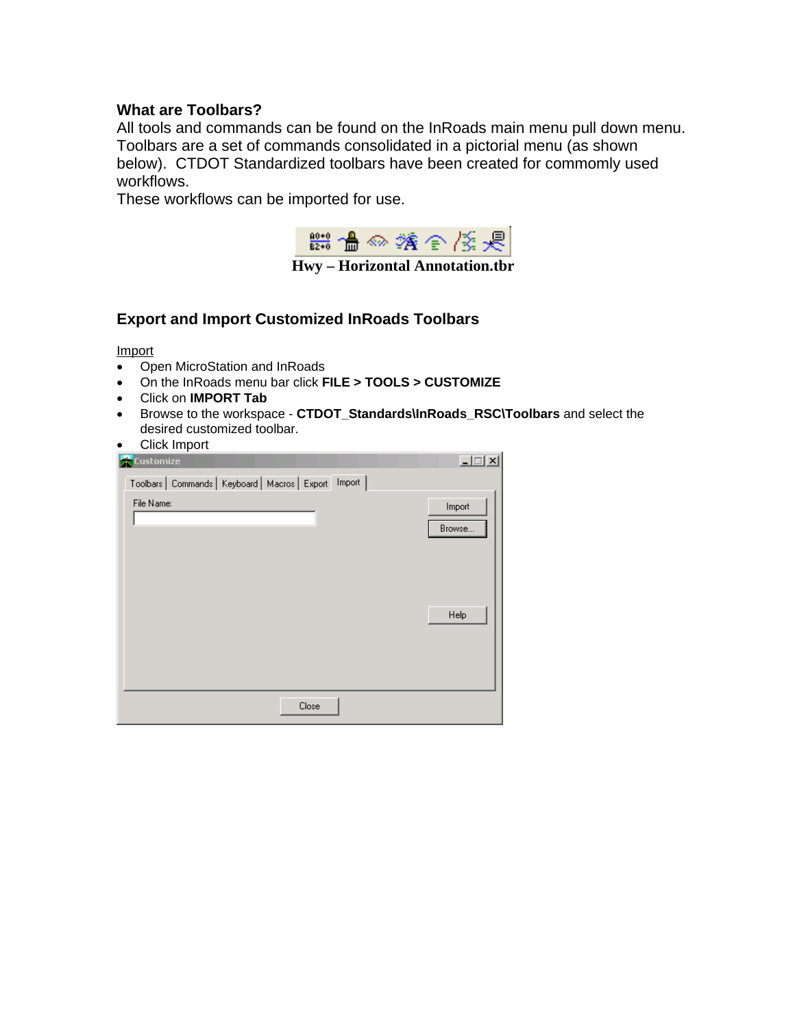# **What are Toolbars?**

All tools and commands can be found on the InRoads main menu pull down menu. Toolbars are a set of commands consolidated in a pictorial menu (as shown below). CTDOT Standardized toolbars have been created for commomly used workflows.

These workflows can be imported for use.



## **Export and Import Customized InRoads Toolbars**

Import

- Open MicroStation and InRoads
- On the InRoads menu bar click **FILE > TOOLS > CUSTOMIZE**
- Click on **IMPORT Tab**
- Browse to the workspace **CTDOT\_Standards\InRoads\_RSC\Toolbars** and select the desired customized toolbar.
- Click Import

| <b>Execution</b> ize                                      | $  $ $\Box$   $\times$ $ $ |
|-----------------------------------------------------------|----------------------------|
| Toolbars   Commands   Keyboard   Macros   Export   Import |                            |
| File Name:                                                | Import<br>Browse           |
|                                                           | Help                       |
| Close                                                     |                            |